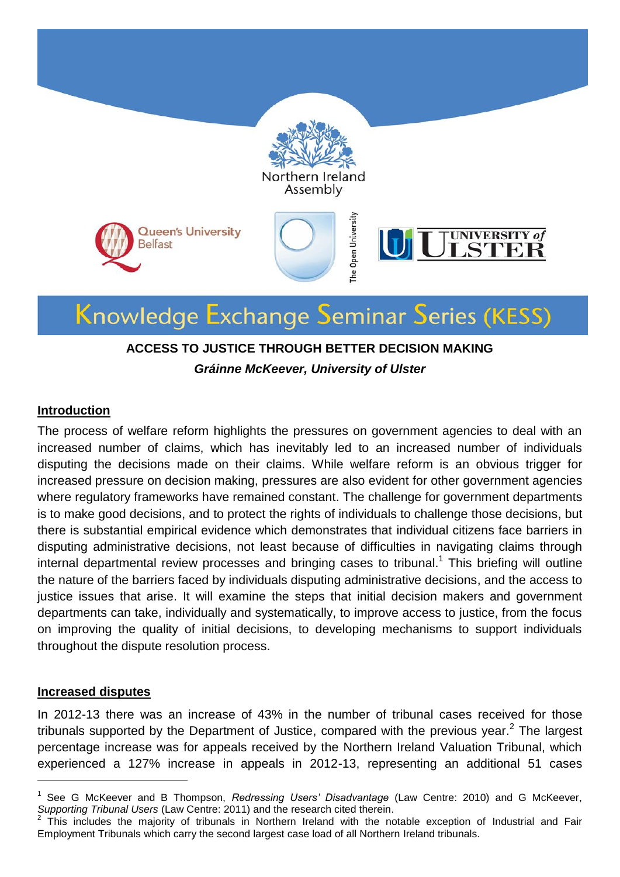

### **ACCESS TO JUSTICE THROUGH BETTER DECISION MAKING**

*Gráinne McKeever, University of Ulster*

#### **Introduction**

The process of welfare reform highlights the pressures on government agencies to deal with an increased number of claims, which has inevitably led to an increased number of individuals disputing the decisions made on their claims. While welfare reform is an obvious trigger for increased pressure on decision making, pressures are also evident for other government agencies where regulatory frameworks have remained constant. The challenge for government departments is to make good decisions, and to protect the rights of individuals to challenge those decisions, but there is substantial empirical evidence which demonstrates that individual citizens face barriers in disputing administrative decisions, not least because of difficulties in navigating claims through internal departmental review processes and bringing cases to tribunal.<sup>1</sup> This briefing will outline the nature of the barriers faced by individuals disputing administrative decisions, and the access to justice issues that arise. It will examine the steps that initial decision makers and government departments can take, individually and systematically, to improve access to justice, from the focus on improving the quality of initial decisions, to developing mechanisms to support individuals throughout the dispute resolution process.

#### **Increased disputes**

-

In 2012-13 there was an increase of 43% in the number of tribunal cases received for those tribunals supported by the Department of Justice, compared with the previous year.<sup>2</sup> The largest percentage increase was for appeals received by the Northern Ireland Valuation Tribunal, which experienced a 127% increase in appeals in 2012-13, representing an additional 51 cases

<sup>1</sup> See G McKeever and B Thompson, *Redressing Users' Disadvantage* (Law Centre: 2010) and G McKeever, *Supporting Tribunal Users* (Law Centre: 2011) and the research cited therein.<br><sup>2</sup> This includes the majority of tribunals in Northern Ireland with the pa

This includes the majority of tribunals in Northern Ireland with the notable exception of Industrial and Fair Employment Tribunals which carry the second largest case load of all Northern Ireland tribunals.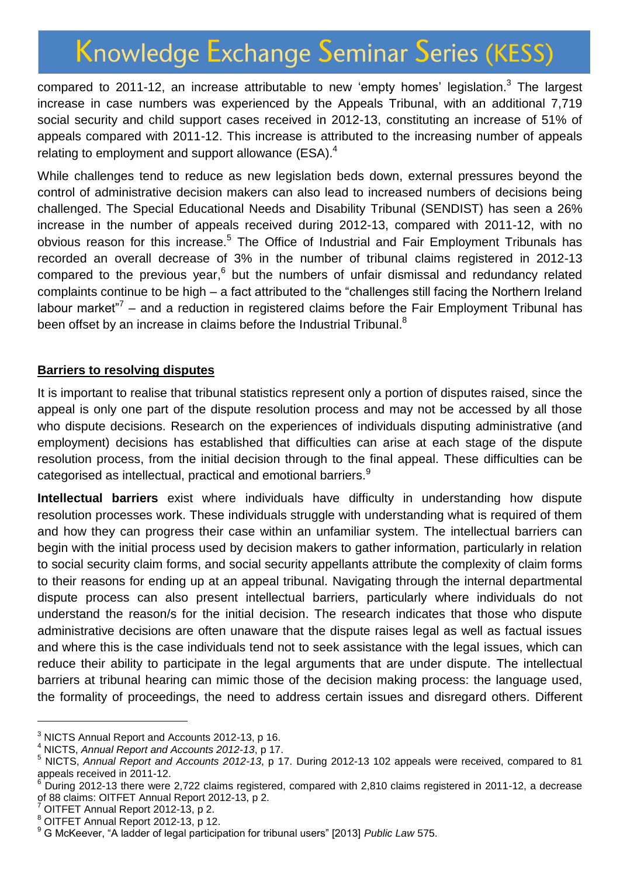compared to 2011-12, an increase attributable to new 'empty homes' legislation.<sup>3</sup> The largest increase in case numbers was experienced by the Appeals Tribunal, with an additional 7,719 social security and child support cases received in 2012-13, constituting an increase of 51% of appeals compared with 2011-12. This increase is attributed to the increasing number of appeals relating to employment and support allowance (ESA).<sup>4</sup>

While challenges tend to reduce as new legislation beds down, external pressures beyond the control of administrative decision makers can also lead to increased numbers of decisions being challenged. The Special Educational Needs and Disability Tribunal (SENDIST) has seen a 26% increase in the number of appeals received during 2012-13, compared with 2011-12, with no obvious reason for this increase.<sup>5</sup> The Office of Industrial and Fair Employment Tribunals has recorded an overall decrease of 3% in the number of tribunal claims registered in 2012-13 compared to the previous year,<sup>6</sup> but the numbers of unfair dismissal and redundancy related complaints continue to be high – a fact attributed to the "challenges still facing the Northern Ireland labour market"<sup>7</sup> – and a reduction in registered claims before the Fair Employment Tribunal has been offset by an increase in claims before the Industrial Tribunal.<sup>8</sup>

#### **Barriers to resolving disputes**

It is important to realise that tribunal statistics represent only a portion of disputes raised, since the appeal is only one part of the dispute resolution process and may not be accessed by all those who dispute decisions. Research on the experiences of individuals disputing administrative (and employment) decisions has established that difficulties can arise at each stage of the dispute resolution process, from the initial decision through to the final appeal. These difficulties can be categorised as intellectual, practical and emotional barriers.<sup>9</sup>

**Intellectual barriers** exist where individuals have difficulty in understanding how dispute resolution processes work. These individuals struggle with understanding what is required of them and how they can progress their case within an unfamiliar system. The intellectual barriers can begin with the initial process used by decision makers to gather information, particularly in relation to social security claim forms, and social security appellants attribute the complexity of claim forms to their reasons for ending up at an appeal tribunal. Navigating through the internal departmental dispute process can also present intellectual barriers, particularly where individuals do not understand the reason/s for the initial decision. The research indicates that those who dispute administrative decisions are often unaware that the dispute raises legal as well as factual issues and where this is the case individuals tend not to seek assistance with the legal issues, which can reduce their ability to participate in the legal arguments that are under dispute. The intellectual barriers at tribunal hearing can mimic those of the decision making process: the language used, the formality of proceedings, the need to address certain issues and disregard others. Different

1

<sup>3</sup> NICTS Annual Report and Accounts 2012-13, p 16.

<sup>4</sup> NICTS, *Annual Report and Accounts 2012-13*, p 17.

<sup>5</sup> NICTS, *Annual Report and Accounts 2012-13*, p 17. During 2012-13 102 appeals were received, compared to 81 appeals received in 2011-12.

<sup>6</sup> During 2012-13 there were 2,722 claims registered, compared with 2,810 claims registered in 2011-12, a decrease of 88 claims: OITFET Annual Report 2012-13, p 2.

<sup>7</sup> OITFET Annual Report 2012-13, p 2.

<sup>8</sup> OITFET Annual Report 2012-13, p 12.

<sup>9</sup> G McKeever, "A ladder of legal participation for tribunal users" [2013] *Public Law* 575.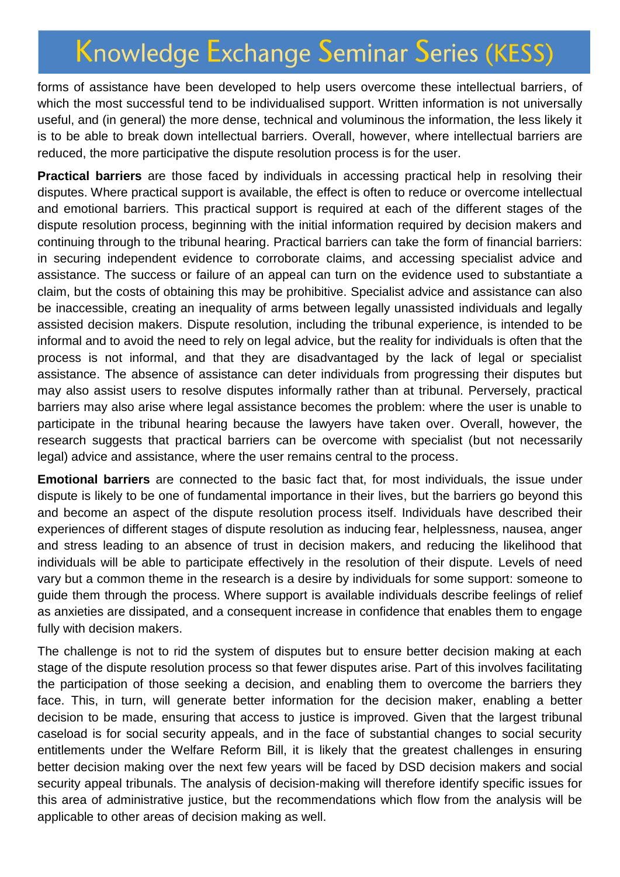forms of assistance have been developed to help users overcome these intellectual barriers, of which the most successful tend to be individualised support. Written information is not universally useful, and (in general) the more dense, technical and voluminous the information, the less likely it is to be able to break down intellectual barriers. Overall, however, where intellectual barriers are reduced, the more participative the dispute resolution process is for the user.

**Practical barriers** are those faced by individuals in accessing practical help in resolving their disputes. Where practical support is available, the effect is often to reduce or overcome intellectual and emotional barriers. This practical support is required at each of the different stages of the dispute resolution process, beginning with the initial information required by decision makers and continuing through to the tribunal hearing. Practical barriers can take the form of financial barriers: in securing independent evidence to corroborate claims, and accessing specialist advice and assistance. The success or failure of an appeal can turn on the evidence used to substantiate a claim, but the costs of obtaining this may be prohibitive. Specialist advice and assistance can also be inaccessible, creating an inequality of arms between legally unassisted individuals and legally assisted decision makers. Dispute resolution, including the tribunal experience, is intended to be informal and to avoid the need to rely on legal advice, but the reality for individuals is often that the process is not informal, and that they are disadvantaged by the lack of legal or specialist assistance. The absence of assistance can deter individuals from progressing their disputes but may also assist users to resolve disputes informally rather than at tribunal. Perversely, practical barriers may also arise where legal assistance becomes the problem: where the user is unable to participate in the tribunal hearing because the lawyers have taken over. Overall, however, the research suggests that practical barriers can be overcome with specialist (but not necessarily legal) advice and assistance, where the user remains central to the process.

**Emotional barriers** are connected to the basic fact that, for most individuals, the issue under dispute is likely to be one of fundamental importance in their lives, but the barriers go beyond this and become an aspect of the dispute resolution process itself. Individuals have described their experiences of different stages of dispute resolution as inducing fear, helplessness, nausea, anger and stress leading to an absence of trust in decision makers, and reducing the likelihood that individuals will be able to participate effectively in the resolution of their dispute. Levels of need vary but a common theme in the research is a desire by individuals for some support: someone to guide them through the process. Where support is available individuals describe feelings of relief as anxieties are dissipated, and a consequent increase in confidence that enables them to engage fully with decision makers.

The challenge is not to rid the system of disputes but to ensure better decision making at each stage of the dispute resolution process so that fewer disputes arise. Part of this involves facilitating the participation of those seeking a decision, and enabling them to overcome the barriers they face. This, in turn, will generate better information for the decision maker, enabling a better decision to be made, ensuring that access to justice is improved. Given that the largest tribunal caseload is for social security appeals, and in the face of substantial changes to social security entitlements under the Welfare Reform Bill, it is likely that the greatest challenges in ensuring better decision making over the next few years will be faced by DSD decision makers and social security appeal tribunals. The analysis of decision-making will therefore identify specific issues for this area of administrative justice, but the recommendations which flow from the analysis will be applicable to other areas of decision making as well.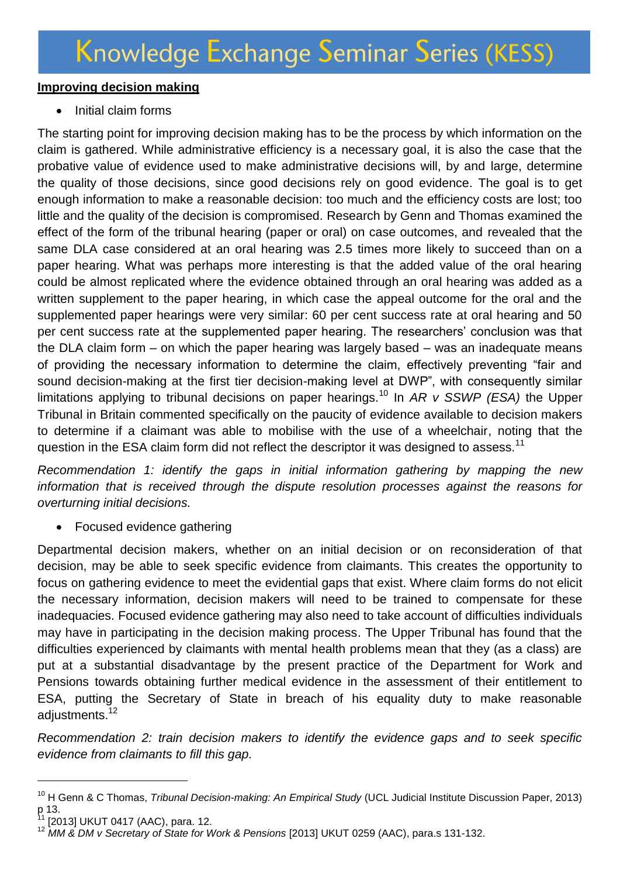#### **Improving decision making**

• Initial claim forms

The starting point for improving decision making has to be the process by which information on the claim is gathered. While administrative efficiency is a necessary goal, it is also the case that the probative value of evidence used to make administrative decisions will, by and large, determine the quality of those decisions, since good decisions rely on good evidence. The goal is to get enough information to make a reasonable decision: too much and the efficiency costs are lost; too little and the quality of the decision is compromised. Research by Genn and Thomas examined the effect of the form of the tribunal hearing (paper or oral) on case outcomes, and revealed that the same DLA case considered at an oral hearing was 2.5 times more likely to succeed than on a paper hearing. What was perhaps more interesting is that the added value of the oral hearing could be almost replicated where the evidence obtained through an oral hearing was added as a written supplement to the paper hearing, in which case the appeal outcome for the oral and the supplemented paper hearings were very similar: 60 per cent success rate at oral hearing and 50 per cent success rate at the supplemented paper hearing. The researchers' conclusion was that the DLA claim form – on which the paper hearing was largely based – was an inadequate means of providing the necessary information to determine the claim, effectively preventing "fair and sound decision-making at the first tier decision-making level at DWP", with consequently similar limitations applying to tribunal decisions on paper hearings.<sup>10</sup> In *AR v SSWP (ESA)* the Upper Tribunal in Britain commented specifically on the paucity of evidence available to decision makers to determine if a claimant was able to mobilise with the use of a wheelchair, noting that the question in the ESA claim form did not reflect the descriptor it was designed to assess.<sup>11</sup>

*Recommendation 1: identify the gaps in initial information gathering by mapping the new information that is received through the dispute resolution processes against the reasons for overturning initial decisions.*

• Focused evidence gathering

Departmental decision makers, whether on an initial decision or on reconsideration of that decision, may be able to seek specific evidence from claimants. This creates the opportunity to focus on gathering evidence to meet the evidential gaps that exist. Where claim forms do not elicit the necessary information, decision makers will need to be trained to compensate for these inadequacies. Focused evidence gathering may also need to take account of difficulties individuals may have in participating in the decision making process. The Upper Tribunal has found that the difficulties experienced by claimants with mental health problems mean that they (as a class) are put at a substantial disadvantage by the present practice of the Department for Work and Pensions towards obtaining further medical evidence in the assessment of their entitlement to ESA, putting the Secretary of State in breach of his equality duty to make reasonable adjustments. 12

*Recommendation 2: train decision makers to identify the evidence gaps and to seek specific evidence from claimants to fill this gap.*

-

<sup>10</sup> H Genn & C Thomas, *Tribunal Decision-making: An Empirical Study* (UCL Judicial Institute Discussion Paper, 2013) p 13.

<sup>[2013]</sup> UKUT 0417 (AAC), para. 12.

<sup>12</sup> *MM & DM v Secretary of State for Work & Pensions* [2013] UKUT 0259 (AAC), para.s 131-132.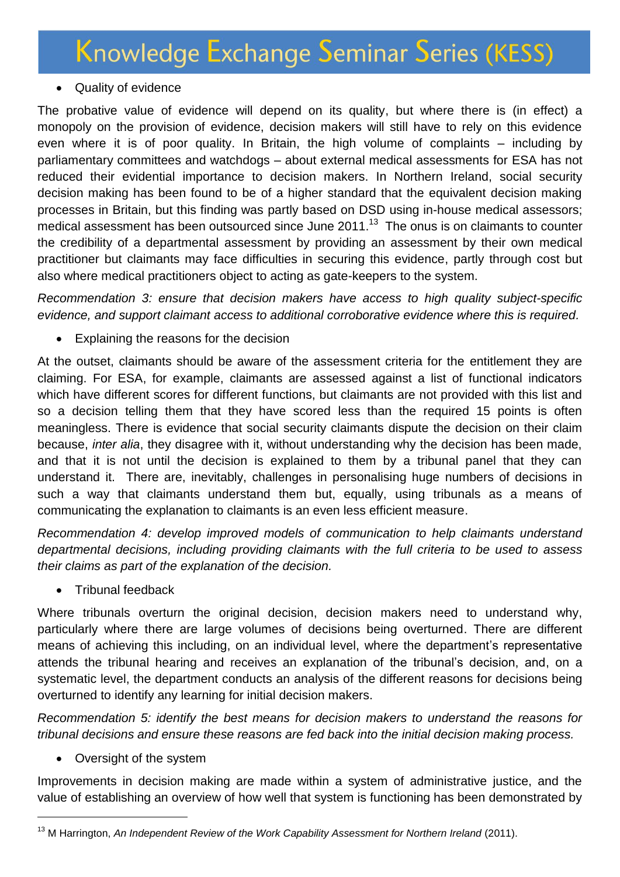### • Quality of evidence

The probative value of evidence will depend on its quality, but where there is (in effect) a monopoly on the provision of evidence, decision makers will still have to rely on this evidence even where it is of poor quality. In Britain, the high volume of complaints – including by parliamentary committees and watchdogs – about external medical assessments for ESA has not reduced their evidential importance to decision makers. In Northern Ireland, social security decision making has been found to be of a higher standard that the equivalent decision making processes in Britain, but this finding was partly based on DSD using in-house medical assessors; medical assessment has been outsourced since June 2011.<sup>13</sup> The onus is on claimants to counter the credibility of a departmental assessment by providing an assessment by their own medical practitioner but claimants may face difficulties in securing this evidence, partly through cost but also where medical practitioners object to acting as gate-keepers to the system.

*Recommendation 3: ensure that decision makers have access to high quality subject-specific evidence, and support claimant access to additional corroborative evidence where this is required.*

Explaining the reasons for the decision

At the outset, claimants should be aware of the assessment criteria for the entitlement they are claiming. For ESA, for example, claimants are assessed against a list of functional indicators which have different scores for different functions, but claimants are not provided with this list and so a decision telling them that they have scored less than the required 15 points is often meaningless. There is evidence that social security claimants dispute the decision on their claim because, *inter alia*, they disagree with it, without understanding why the decision has been made, and that it is not until the decision is explained to them by a tribunal panel that they can understand it. There are, inevitably, challenges in personalising huge numbers of decisions in such a way that claimants understand them but, equally, using tribunals as a means of communicating the explanation to claimants is an even less efficient measure.

*Recommendation 4: develop improved models of communication to help claimants understand departmental decisions, including providing claimants with the full criteria to be used to assess their claims as part of the explanation of the decision.*

• Tribunal feedback

Where tribunals overturn the original decision, decision makers need to understand why, particularly where there are large volumes of decisions being overturned. There are different means of achieving this including, on an individual level, where the department's representative attends the tribunal hearing and receives an explanation of the tribunal's decision, and, on a systematic level, the department conducts an analysis of the different reasons for decisions being overturned to identify any learning for initial decision makers.

*Recommendation 5: identify the best means for decision makers to understand the reasons for tribunal decisions and ensure these reasons are fed back into the initial decision making process.*

• Oversight of the system

-

Improvements in decision making are made within a system of administrative justice, and the value of establishing an overview of how well that system is functioning has been demonstrated by

<sup>&</sup>lt;sup>13</sup> M Harrington, An Independent Review of the Work Capability Assessment for Northern Ireland (2011).